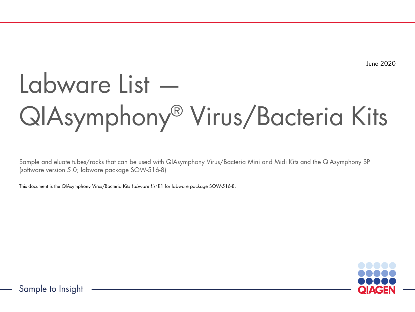June 2020

# Labware List — QIAsymphony® Virus/Bacteria Kits

Sample and eluate tubes/racks that can be used with QIAsymphony Virus/Bacteria Mini and Midi Kits and the QIAsymphony SP (software version 5.0; labware package SOW-516-8)

This document is the QIAsymphony Virus/Bacteria Kits *Labware List* R1 for labware package SOW-516-8.



Sample to Insight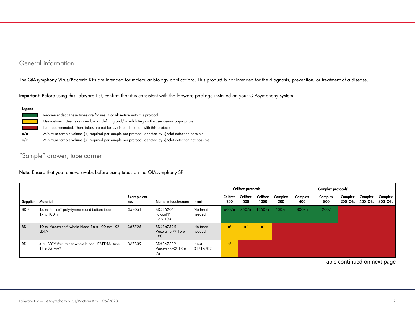# General information

The QIAsymphony Virus/Bacteria Kits are intended for molecular biology applications. This product is not intended for the diagnosis, prevention, or treatment of a disease.

Important: Before using this Labware List, confirm that it is consistent with the labware package installed on your QIAsymphony system.

### Legend

|          | Recommended: These tubes are for use in combination with this protocol.                                 |
|----------|---------------------------------------------------------------------------------------------------------|
|          | User-defined: User is responsible for defining and/or validating as the user deems appropriate.         |
|          | Not recommended: These tubes are not for use in combination with this protocol.                         |
| x/∎      | Minimum sample volume (µl) required per sample per protocol (denoted by x)/clot detection possible.     |
| $x/\Box$ | Minimum sample volume (µl) required per sample per protocol (denoted by x)/clot detection not possible. |
|          |                                                                                                         |

# "Sample" drawer, tube carrier

Note: Ensure that you remove swabs before using tubes on the QIAsymphony SP.

|              |                                                                                 |                     |                                          |                     |                        | Cellfree protocols |                          |                |                | Complex protocols <sup>++</sup> |                |                            |                    |
|--------------|---------------------------------------------------------------------------------|---------------------|------------------------------------------|---------------------|------------------------|--------------------|--------------------------|----------------|----------------|---------------------------------|----------------|----------------------------|--------------------|
|              | Supplier Material                                                               | Example cat.<br>no. | Name in touchscreen                      | Insert              | Cellfree<br>200        | Cellfree<br>500    | Cellfree<br>1000         | Complex<br>200 | Complex<br>400 | Complex<br>800                  | <b>200 OBL</b> | Complex Complex<br>400 OBL | Complex<br>800 OBL |
| <b>BD</b> §§ | 14 ml Falcon® polystyrene round-bottom tube<br>$17 \times 100$ mm               | 352051              | BD#352051<br>FalconPP<br>$17 \times 100$ | No insert<br>needed | 600/                   | 750/               | 1350/                    | 600/           | 800/           | $1200 / \Box$                   |                |                            |                    |
| <b>BD</b>    | 10 ml Vacutainer® whole blood 16 x 100 mm, K2-<br><b>EDTA</b>                   | 367525              | BD#367525<br>VacutainerPP 16 x<br>100    | No insert<br>needed | $\blacksquare^\dagger$ | ▬                  | $\blacksquare^{\dagger}$ |                |                |                                 |                |                            |                    |
| <b>BD</b>    | 4 ml BD™ Vacutainer whole blood, K2-EDTA tube<br>$13 \times 75$ mm <sup>*</sup> | 367839              | BD#367839<br>VacutainerK2 13 x<br>75     | Insert<br>01/1A/02  | ு                      |                    |                          |                |                |                                 |                |                            |                    |

Table continued on next page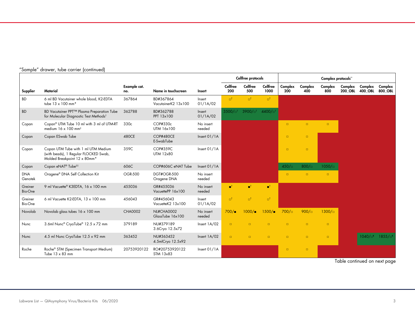|                       |                                                                                                              |                     |                                       |                     |                        | Cellfree protocols       |                          |                |                | Complex protocols <sup>**</sup> |                           |                           |                                         |
|-----------------------|--------------------------------------------------------------------------------------------------------------|---------------------|---------------------------------------|---------------------|------------------------|--------------------------|--------------------------|----------------|----------------|---------------------------------|---------------------------|---------------------------|-----------------------------------------|
| Supplier              | Material                                                                                                     | Example cat.<br>no. | Name in touchscreen                   | Insert              | <b>Cellfree</b><br>200 | Cellfree<br>500          | Cellfree<br>1000         | Complex<br>200 | Complex<br>400 | Complex<br>800                  | Complex<br><b>200 OBL</b> | Complex<br><b>400 OBL</b> | Complex<br>800_OBL                      |
| <b>BD</b>             | 6 ml BD Vacutainer whole blood, K2-EDTA<br>tube 13 x 100 mm*                                                 | 367864              | BD#367864<br>VacutainerK2 13x100      | Insert<br>01/1A/02  | $\Box^{\dagger}$       | $\Box^{\dagger}$         | $\Box^{\dagger}$         |                |                |                                 |                           |                           |                                         |
| BD                    | BD Vacutainer PPT™ Plasma Preparation Tube<br>for Molecular Diagnostic Test Methods <sup>t</sup>             | 362788              | BD#362788<br>PPT 13x100               | Insert<br>01/1A/02  | 3500/at                | 3900/a <sup>t</sup>      | 4400/c                   |                |                |                                 |                           |                           |                                         |
| Copan                 | Copan <sup>®</sup> UTM Tube 10 ml with 3 ml of UTM-RT<br>medium 16 x 100 mm <sup>+</sup>                     | 330 <sub>c</sub>    | COP#330c<br>UTM 16x100                | No insert<br>needed |                        |                          |                          | $\Box$         | $\Box$         | $\Box$                          |                           |                           |                                         |
| Copan                 | Copan ESwab Tube                                                                                             | 480CE               | COP#480CE<br>E-SwabTube               | Insert 01/1A        |                        |                          |                          | $\Box$         | $\Box$         |                                 |                           |                           |                                         |
| Copan                 | Copan UTM Tube with 1 ml UTM Medium<br>(with beads), 1 Regular FLOCKED Swab,<br>Molded Breakpoint 12 x 80mm* | 359C                | COP#359C<br><b>UTM 12x80</b>          | Insert 01/1A        |                        |                          |                          | $\Box$         | $\Box$         |                                 |                           |                           |                                         |
| Copan                 | Copan eNAT <sup>®</sup> Tube <sup>##</sup>                                                                   | 606C                | COP#606C eNAT Tube                    | Insert 01/1A        |                        |                          |                          | 450/           | $800 / \Box$   | 1050/c                          |                           |                           |                                         |
| <b>DNA</b><br>Genotek | Oragene® DNA Self Collection Kit                                                                             | <b>OGR-500</b>      | DGT#OGR-500<br>Oragene DNA            | No insert<br>needed |                        |                          |                          | $\Box$         | $\Box$         | $\Box$                          |                           |                           |                                         |
| Greiner<br>Bio-One    | 9 ml Vacuette® K3EDTA, 16 x 100 mm                                                                           | 455036              | GR#455036<br>VacuettePP 16x100        | No insert<br>needed | $\blacksquare^\dagger$ | $\blacksquare^{\dagger}$ | $\blacksquare^{\dagger}$ |                |                |                                 |                           |                           |                                         |
| Greiner<br>Bio-One    | 6 ml Vacuette K2-EDTA, 13 x 100 mm                                                                           | 456043              | GR#456043<br>VacuetteK2 13x100        | Insert<br>01/1A/02  | $\Box^{\dagger}$       | $\Box^{\dagger}$         | $\Box^{\dagger}$         |                |                |                                 |                           |                           |                                         |
| Novolab               | Novolab glass tubes 16 x 100 mm                                                                              | <b>CHA0002</b>      | <b>NL#CHA0002</b><br>GlassTube 16x100 | No insert<br>needed | $700/\blacksquare$     | $1000/\blacksquare$      | $1500/\blacksquare$      | $700 / \Box$   | $900 / \Box$   | $1300 / \Box$                   |                           |                           |                                         |
| Nunc                  | 3.6ml Nunc® CryoTube® 12.5 x 72 mm                                                                           | 379189              | NU#379189<br>3.6Cryo 12.5x72          | Insert 1A/02        | $\Box$                 | $\Box$                   | $\Box$                   | $\Box$         | $\Box$         | $\Box$                          |                           |                           |                                         |
| Nunc                  | 4.5 ml Nunc CryoTube 12.5 x 92 mm                                                                            | 363452              | NU#363452<br>4.5mlCryo 12.5x92        | Insert 1A/02        | $\Box$                 | $\Box$                   | $\Box$                   | $\Box$         | $\Box$         | $\Box$                          |                           |                           | $1040/\Box$ <sup>1</sup> 1855/ $\Box$ 1 |
| Roche                 | Roche® STM (Specimen Transport Medium)<br>Tube $13 \times 83$ mm                                             | 20753920122         | RO#20753920122<br>STM 13x83           | Insert 01/1A        |                        |                          |                          | $\Box$         | $\Box$         |                                 |                           |                           |                                         |

## "Sample" drawer, tube carrier (continued)

Table continued on next page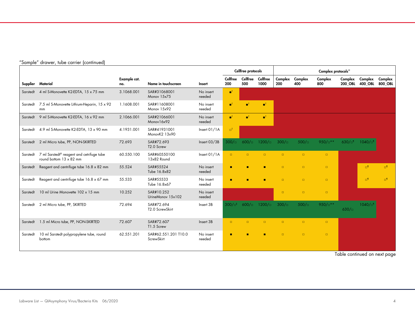|          | Jumple Gruwer, lobe currier (commoeur                                                   |                     |                                    |                     |                        | Cellfree protocols       |                          |                |                | Complex protocols <sup>**</sup> |                           |                                   |                     |
|----------|-----------------------------------------------------------------------------------------|---------------------|------------------------------------|---------------------|------------------------|--------------------------|--------------------------|----------------|----------------|---------------------------------|---------------------------|-----------------------------------|---------------------|
|          | Supplier Material                                                                       | Example cat.<br>no. | Name in touchscreen                | Insert              | Cellfree<br>200        | Cellfree<br>500          | Cellfree<br>1000         | Complex<br>200 | Complex<br>400 | Complex<br>800                  | Complex<br><b>200 OBL</b> | Complex Complex<br><b>400 OBL</b> | 800 OBL             |
| Sarstedt | 4 ml S-Monovette K2-EDTA, 15 x 75 mm                                                    | 3.1068.001          | SAR#31068001<br>Monov 15x75        | No insert<br>needed | $\blacksquare^\dagger$ |                          |                          |                |                |                                 |                           |                                   |                     |
| Sarstedt | 7.5 ml S-Monovette Lithium-Heparin, 15 x 92<br>mm                                       | 1.1608.001          | SAR#11608001<br>Monov 15x92        | No insert<br>needed | m,                     | $\blacksquare^{\dagger}$ | $\blacksquare^{\dagger}$ |                |                |                                 |                           |                                   |                     |
|          | Sarstedt 9 ml S-Monovette K2-EDTA, 16 x 92 mm                                           | 2.1066.001          | SAR#21066001<br>Monov16x92         | No insert<br>needed | mt.                    | пt                       | $\blacksquare^{\dagger}$ |                |                |                                 |                           |                                   |                     |
| Sarstedt | 4.9 ml S-Monovette K2-EDTA, 13 x 90 mm                                                  | 4.1931.001          | SAR#41931001<br>MonovK2 13x90      | Insert 01/1A        | $\Box^{\dagger}$       |                          |                          |                |                |                                 |                           |                                   |                     |
|          | Sarstedt 2 ml Micro tube, PP, NON-SKIRTED                                               | 72.693              | SAR#72.693<br>T2.0 Screw           | Insert 03/3B        | $300 / \Box$           | $600 / \Box$             | $1200 / \Box$            | $300 / \Box$   | 500/n          | $950/\Box$ **                   | $630/\Box$ <sup>1</sup>   | $1040/\Box$ 1                     |                     |
| Sarstedt | 7 ml Sarstedt <sup>®</sup> reagent and cetrifuge tube<br>round bottom $13 \times 82$ mm | 60.550.100          | SAR#60550100<br>13x82 Round        | Insert 01/1A        | $\Box$                 | $\Box$                   | $\Box$                   | $\Box$         | $\Box$         | $\Box$                          |                           |                                   |                     |
| Sarstedt | Reagent and centrifuge tube 16.8 x 82 mm                                                | 55.524              | SAR#55524<br>Tube 16.8x82          | No insert<br>needed | ٠                      | п                        | п                        | $\Box$         | $\Box$         | $\Box$                          |                           | $\mathbf{u}^{\mathbf{q}}$         | $\Box$ <sup>1</sup> |
| Sarstedt | Reagent and centrifuge tube 16.8 x 67 mm                                                | 55.533              | SAR#55533<br>Tube 16.8x67          | No insert<br>needed | п                      |                          | п                        | $\Box$         | $\Box$         | $\Box$                          |                           | $\Box^{\P}$                       | $\Box$              |
| Sarstedt | 10 ml Urine Monovette 102 x 15 mm                                                       | 10.252              | SAR#10.252<br>UrineMonov 15x102    | No insert<br>needed |                        |                          |                          | $\Box$         | $\Box$         | $\Box$                          |                           |                                   |                     |
| Sarstedt | 2 ml Micro tube, PP, SKIRTED                                                            | 72.694              | SAR#72.694<br>T2.0 ScrewSkirt      | Insert 3B           | $300/\Box^{8}$         | $600 / \Box$             | $1200 / \square$         | $300/\Box$     | $500/\square$  | 950/ $\mathbb{R}^*$             | $630/\Box$                | 1040 / <sup>f</sup>               |                     |
| Sarstedt | 1.5 ml Micro tube, PP, NON-SKIRTED                                                      | 72.607              | SAR#72.607<br>T1.5 Screw           | Insert 3B           | $\Box$                 | $\Box$                   | $\Box$                   | $\Box$         | $\Box$         | $\Box$                          |                           |                                   |                     |
| Sarstedt | 10 ml Sarstedt polypropylene tube, round<br>bottom                                      | 62.551.201          | SAR#62.551.201 T10.0<br>ScrewSkirt | No insert<br>needed | п                      |                          | п                        | $\Box$         | $\Box$         | $\Box$                          |                           |                                   |                     |

# "Sample" drawer, tube carrier (continued)

Table continued on next page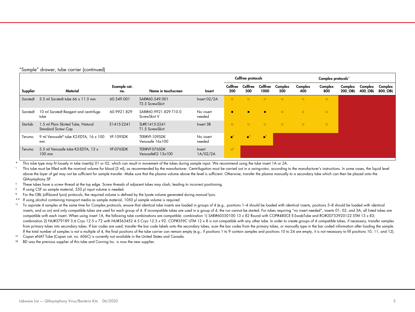|  |  |  |  | "Sample" drawer, tube carrier (continued) |  |
|--|--|--|--|-------------------------------------------|--|
|--|--|--|--|-------------------------------------------|--|

|          |                                                                 |                     |                                       |                     | Cellfree protocols       |                 |                         |                |                | Complex protocols <sup>++</sup> |                           |                    |                    |
|----------|-----------------------------------------------------------------|---------------------|---------------------------------------|---------------------|--------------------------|-----------------|-------------------------|----------------|----------------|---------------------------------|---------------------------|--------------------|--------------------|
| Supplier | <b>Material</b>                                                 | Example cat.<br>no. | Name in touchscreen                   | Insert              | Cellfree<br>200          | Cellfree<br>500 | <b>Cellfree</b><br>1000 | Complex<br>200 | Complex<br>400 | Complex<br>800                  | Complex<br><b>200 OBL</b> | Complex<br>400 OBL | Complex<br>800 OBL |
| Sarstedt | 3.5 ml Sarstedt tube 66 x 11.5 mm                               | 60.549.001          | SAR#60.549.001<br>T3.5 ScrewSkirt     | Insert 02/2A        | $\Box$                   | $\Box$          | $\Box$                  | $\Box$         | $\Box$         | $\Box$                          |                           |                    |                    |
| Sarstedt | 10 ml Sarstedt Reagent and centrifuge<br>tube                   | 60.9921.829         | SAR#60.9921.829 T10.0<br>ScrewSkirt V | No insert<br>needed | $\blacksquare$           | п               |                         | $\Box$         | $\Box$         | $\Box$                          |                           |                    |                    |
| Starlab  | 1.5 ml Plain Skirted Tube, Natural<br><b>Standard Screw Cap</b> | E1415-2241          | SL#E1415-2241<br>T1.5 ScrewSkirt      | Insert 3B           | $\Box$                   | $\Box$          | $\Box$                  | $\Box$         | $\Box$         | $\Box$                          |                           |                    |                    |
| Terumo   | 9 ml Venosafe® tube K2-EDTA, 16 x 100<br>mm                     | VF-109SDK           | TER#VF-109SDK<br>Venosafe 16x100      | No insert<br>needed | $\blacksquare^{\dagger}$ | n               | n.                      |                |                |                                 |                           |                    |                    |
| Terumo   | 5.5 ml Venosafe tube K2-EDTA, 13 x<br>$100$ mm                  | VF-076SDK           | TER#VF-076SDK<br>VenosafeK2 13x100    | Insert<br>1A/02/2A  | ு'                       |                 |                         |                |                |                                 |                           |                    |                    |

This tube type may fit loosely in tube insert(s) 01 or 02, which can result in movement of the tubes during sample input. We recommend using the tube insert 1A or 2A.

<sup>t</sup> This tube must be filled with the nominal volume for blood (5 ml), as recommended by the manufacturer. Centrifugation must be carried out in a swing-rotor, according to the manufacturer's instructions. In some cases, t above the layer of gel may not be sufficient for sample transfer. Make sure that the plasma volume above the level is sufficient. Otherwise, transfer the plasma manually to a secondary tube which can then be placed onto th QIAsymphony SP.

- ‡ These tubes have a screw thread at the top edge. Screw threads of adjacent tubes may clash, leading to incorrect positioning.
- § If using CSF as sample material, 350 µl input volume is needed.
- ¶ For the OBL (off-board lysis) protocols, the required volume is defined by the lysate volume generated during manual lysis.
- \*\* If using alcohol containing transport media as sample material, 1050 µl sample volume is required.

<sup>tt</sup> To aspirate 4 samples at the same time for Complex protocols, ensure that identical tube inserts are loaded in groups of 4 (e.g., positions 1–4 should be loaded with identical inserts, positions 5–8 should be loaded w inserts, and so on) and only compatible tubes are used for each group of 4. If incompatible tubes are used in a group of 4, the run cannot be started. For tubes requiring "no insert needed", inserts 01, 02, and 3A, all lis compatible with each insert. When using insert 1A, the following tube combinations are compatible: combination 1) SAR#60550100 13 x 82 Round with COP#480CE E-SwabTube and RO#20753920122 STM 13 x 83; combination 2) NU#379189 3.6 Cryo 12.5 x 72 with NU#363452 4.5 Cryo 12.5 x 92. COP#359C UTM 12 x 8 is not compatible with any other tube. In order to create groups of 4 compatible tubes, if necessary, transfer samples from primary tubes into secondary tubes. If bar codes are used, transfer the bar code labels onto the secondary tubes, scan the bar codes from the primary tubes, or manually type in the bar coded information after loading If the total number of samples is not a multiple of 4, the final positions of the tube carrier can remain empty (e.g., if positions 1 to 9 contain samples and positions 10 to 24 are empty, it is not necessary to fill posit

- ‡‡ Copan eNAT Tube (Copan cat. no. 606C) is currently not available in the United States and Canada.
- <sup>§§</sup> BD was the previous supplier of this tube and Corning Inc. is now the new supplier.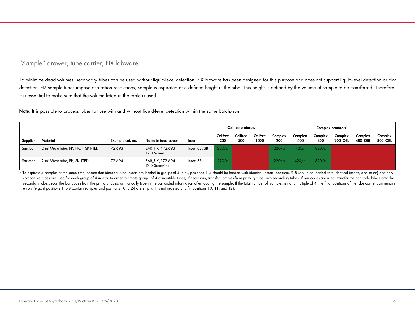# "Sample" drawer, tube carrier, FIX labware

To minimize dead volumes, secondary tubes can be used without liquid-level detection. FIX labware has been designed for this purpose and does not support liquid-level detection or clot detection. FIX sample tubes impose aspiration restrictions; sample is aspirated at a defined height in the tube. This height is defined by the volume of sample to be transferred. Therefore, it is essential to make sure that the volume listed in the table is used.

Note: It is possible to process tubes for use with and without liquid-level detection within the same batch/run.

|          |                                  |                  |                                           |                |                 | Cellfree protocols |                  |                |                   |                | Complex protocols <sup>++</sup> |                    |                    |
|----------|----------------------------------|------------------|-------------------------------------------|----------------|-----------------|--------------------|------------------|----------------|-------------------|----------------|---------------------------------|--------------------|--------------------|
| Supplier | Material                         | Example cat. no. | Name in touchscreen                       | <b>Insert</b>  | Cellfree<br>200 | Cellfree<br>500    | Cellfree<br>1000 | Complex<br>200 | Complex<br>400    | Complex<br>800 | Complex<br><b>200 OBL</b>       | Complex<br>400 OBL | Complex<br>800 OBL |
| Sarstedt | 2 ml Micro tube, PP, NON-SKIRTED | 72.693           | SAR FIX #72.693<br>T <sub>2.0</sub> Screw | Insert $03/3B$ | 220/            |                    |                  | 220/r          | 420 <sub>ii</sub> | 820/           |                                 |                    |                    |
| Sarstedt | 2 ml Micro tube, PP, SKIRTED     | 72.694           | SAR FIX #72.694<br>T2.0 ScrewSkirt        | Insert 3B      | 220/            |                    |                  | 220/r          | $420/\square$     | 820/           |                                 |                    |                    |

\* To aspirate 4 samples at the same time, ensure that identical tube inserts are loaded in groups of 4 (e.g., positions 1–4 should be loaded with identical inserts, positions 5–8 should be loaded with identical inserts, an compatible tubes are used for each group of 4 inserts. In order to create groups of 4 compatible tubes, if necessary, transfer samples from primary tubes into secondary tubes. If bar codes are used, transfer the bar code l secondary tubes, scan the bar codes from the primary tubes, or manually type in the bar coded information after loading the sample. If the total number of samples is not a multiple of 4, the final positions of the tube car empty (e.g., if positions 1 to 9 contain samples and positions 10 to 24 are empty, it is not necessary to fill positions 10, 11, and 12).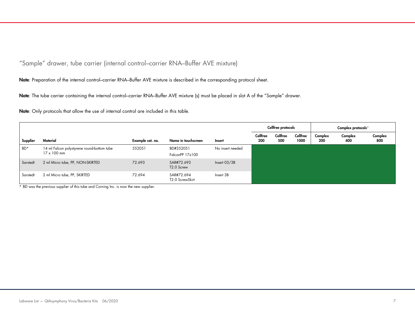"Sample" drawer, tube carrier (internal control–carrier RNA–Buffer AVE mixture)

Note: Preparation of the internal control–carrier RNA–Buffer AVE mixture is described in the corresponding protocol sheet.

Note: The tube carrier containing the internal control-carrier RNA-Buffer AVE mixture (s) must be placed in slot A of the "Sample" drawer.

Note: Only protocols that allow the use of internal control are included in this table.

|          |                                                                  |                  |                                      |                  |                 | Cellfree protocols |                  |                | Complex protocols <sup>**</sup> |                |
|----------|------------------------------------------------------------------|------------------|--------------------------------------|------------------|-----------------|--------------------|------------------|----------------|---------------------------------|----------------|
| Supplier | Material                                                         | Example cat. no. | Name in touchscreen                  | Insert           | Cellfree<br>200 | Cellfree<br>500    | Cellfree<br>1000 | Complex<br>200 | Complex<br>400                  | Complex<br>800 |
| BD*      | 14 ml Falcon polystyrene round-bottom tube<br>$17 \times 100$ mm | 352051           | BD#352051<br>FalconPP 17x100         | No insert needed |                 |                    |                  |                |                                 |                |
| Sarstedt | 2 ml Micro tube, PP, NON-SKIRTED                                 | 72.693           | SAR#72.693<br>T <sub>2.0</sub> Screw | Insert $03/3B$   |                 |                    |                  |                |                                 |                |
| Sarstedt | 2 ml Micro tube, PP, SKIRTED                                     | 72.694           | SAR#72.694<br>T2.0 ScrewSkirt        | Insert 3B        |                 |                    |                  |                |                                 |                |

\* BD was the previous supplier of this tube and Corning Inc. is now the new supplier.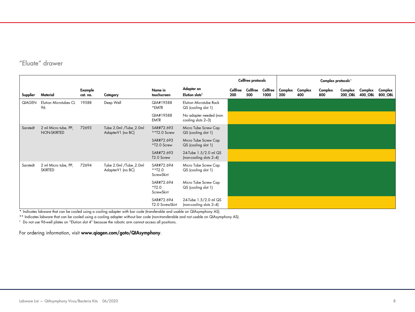# "Eluate" drawer

|          |                                        |                     |                                             |                                       |                                                      | Cellfree protocols |                 |                         |                |                | Complex protocols <sup>**</sup> |                    |                    |                    |
|----------|----------------------------------------|---------------------|---------------------------------------------|---------------------------------------|------------------------------------------------------|--------------------|-----------------|-------------------------|----------------|----------------|---------------------------------|--------------------|--------------------|--------------------|
| Supplier | Material                               | Example<br>cat. no. | Category                                    | Name in<br>touchscreen                | Adapter on<br>Elution slots <sup>t</sup>             | Cellfree<br>200    | Cellfree<br>500 | <b>Cellfree</b><br>1000 | Complex<br>200 | Complex<br>400 | Complex<br>800                  | Complex<br>200_OBL | Complex<br>400_OBL | Complex<br>800_OBL |
| QIAGEN   | <b>Elution Microtubes CL</b><br>96     | 19588               | Deep Well                                   | QIA#19588<br>*EMTR                    | <b>Elution Microtube Rack</b><br>QS (cooling slot 1) |                    |                 |                         |                |                |                                 |                    |                    |                    |
|          |                                        |                     |                                             | QIA#19588<br><b>EMTR</b>              | No adapter needed (non-<br>cooling slots 2-3)        |                    |                 |                         |                |                |                                 |                    |                    |                    |
| Sarstedt | 2 ml Micro tube, PP,<br>NON-SKIRTED    | 72693               | Tube 2.0ml /Tube_2.0ml<br>AdapterV1 (no BC) | SAR#72.693<br>**T2.0 Screw            | Micro Tube Screw Cap<br>QS (cooling slot 1)          |                    |                 |                         |                |                |                                 |                    |                    |                    |
|          |                                        |                     |                                             | SAR#72.693<br>*T2.0 Screw             | Micro Tube Screw Cap<br>QS (cooling slot 1)          |                    |                 |                         |                |                |                                 |                    |                    |                    |
|          |                                        |                     |                                             | SAR#72.693<br>T2.0 Screw              | 24-Tube 1.5/2.0 ml QS<br>(non-cooling slots 2-4)     |                    |                 |                         |                |                |                                 |                    |                    |                    |
| Sarstedt | 2 ml Micro tube, PP,<br><b>SKIRTED</b> | 72694               | Tube 2.0ml /Tube_2.0ml<br>AdapterV1 (no BC) | SAR#72.694<br>$*$ *T2.0<br>ScrewSkirt | Micro Tube Screw Cap<br>QS (cooling slot 1)          |                    |                 |                         |                |                |                                 |                    |                    |                    |
|          |                                        |                     |                                             | SAR#72.694<br>$*T2.0$<br>ScrewSkirt   | Micro Tube Screw Cap<br>QS (cooling slot 1)          |                    |                 |                         |                |                |                                 |                    |                    |                    |
|          |                                        |                     |                                             | SAR#72.694<br>T2.0 ScrewSkirt         | 24-Tube 1.5/2.0 ml QS<br>(non-cooling slots 2-4)     |                    |                 |                         |                |                |                                 |                    |                    |                    |

\* Indicates labware that can be cooled using a cooling adapter with bar code (transferable and usable on QIAsymphony AS).

\*\* Indicates labware that can be cooled using a cooling adapter without bar code (non-transferable and not usable on QIAsymphony AS).

 $^\dagger$  Do not use 96-well plates on "Elution slot 4" because the robotic arm cannot access all positions.

For ordering information, visit www.qiagen.com/goto/QIAsymphony.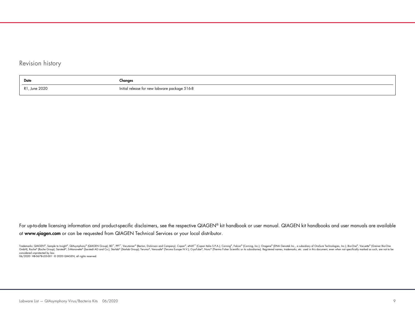# Revision history

| Date                      | Changes                                       |
|---------------------------|-----------------------------------------------|
| , June 2020<br><b>D</b> 1 | Initial release for new labware package 516-8 |

For up-to-date licensing information and product-specific disclaimers, see the respective QIAGEN® kit handbook or user manual. QIAGEN kit handbooks and user manuals are available at www.qiagen.com or can be requested from QIAGEN Technical Services or your local distributor.

Trademarks: QIAGEN®, Sample to Insight®, QIAsymphony® (QIAGEN Group); BD™, PPT™, Vacutainer® (Becton, Dickinson and Company). Copan®, eNAT™ (Copan Italia S.P.A.); Corning®, Falcon® (Corning, Inc.); Oragene® (DNA Genotek In GmbH); Roche® (Roche Group); Sarstedi®, SMonovette® (Sarstedt AG and Co.); Starlab® (Starlab Group); Terumo®, Venosate® (Terumo Europe N.V.); CryoTube®, Nunc® (Thermo Fisher Scientific or its subsidiaries). Registered name considered unprotected by law. 06/2020 HB-0678-L05-001 © 2020 QIAGEN, all rights reserved.